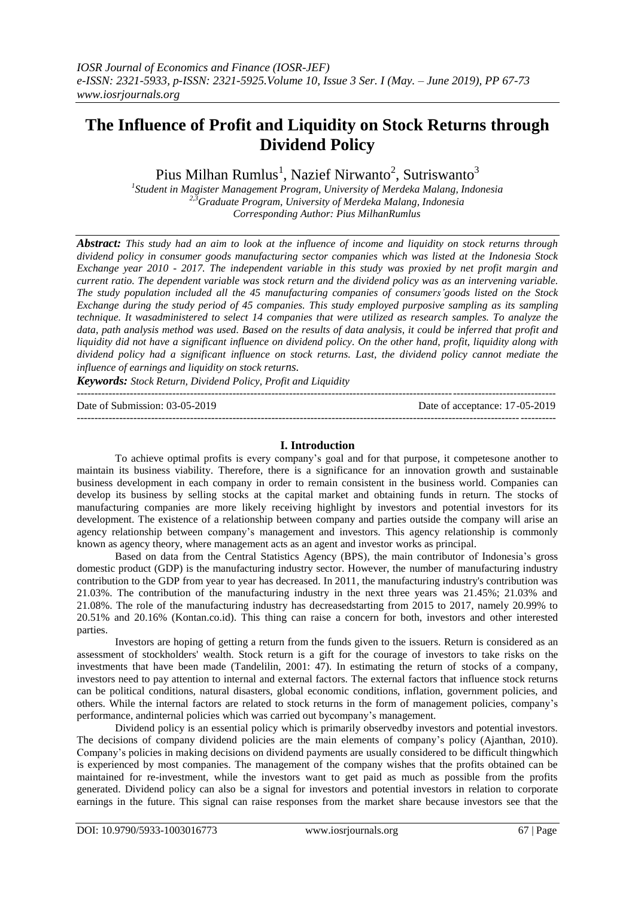# **The Influence of Profit and Liquidity on Stock Returns through Dividend Policy**

Pius Milhan Rumlus<sup>1</sup>, Nazief Nirwanto<sup>2</sup>, Sutriswanto<sup>3</sup>

*1 Student in Magister Management Program, University of Merdeka Malang, Indonesia 2,3Graduate Program, University of Merdeka Malang, Indonesia Corresponding Author: Pius MilhanRumlus*

*Abstract: This study had an aim to look at the influence of income and liquidity on stock returns through dividend policy in consumer goods manufacturing sector companies which was listed at the Indonesia Stock Exchange year 2010 - 2017. The independent variable in this study was proxied by net profit margin and current ratio. The dependent variable was stock return and the dividend policy was as an intervening variable. The study population included all the 45 manufacturing companies of consumers'goods listed on the Stock Exchange during the study period of 45 companies. This study employed purposive sampling as its sampling technique. It wasadministered to select 14 companies that were utilized as research samples. To analyze the data, path analysis method was used. Based on the results of data analysis, it could be inferred that profit and liquidity did not have a significant influence on dividend policy. On the other hand, profit, liquidity along with dividend policy had a significant influence on stock returns. Last, the dividend policy cannot mediate the influence of earnings and liquidity on stock returns.*

*Keywords: Stock Return, Dividend Policy, Profit and Liquidity* ---------------------------------------------------------------------------------------------------------------------------------------

Date of Submission: 03-05-2019 Date of acceptance: 17-05-2019 ---------------------------------------------------------------------------------------------------------------------------------------

# **I. Introduction**

To achieve optimal profits is every company's goal and for that purpose, it competesone another to maintain its business viability. Therefore, there is a significance for an innovation growth and sustainable business development in each company in order to remain consistent in the business world. Companies can develop its business by selling stocks at the capital market and obtaining funds in return. The stocks of manufacturing companies are more likely receiving highlight by investors and potential investors for its development. The existence of a relationship between company and parties outside the company will arise an agency relationship between company's management and investors. This agency relationship is commonly known as agency theory, where management acts as an agent and investor works as principal.

Based on data from the Central Statistics Agency (BPS), the main contributor of Indonesia's gross domestic product (GDP) is the manufacturing industry sector. However, the number of manufacturing industry contribution to the GDP from year to year has decreased. In 2011, the manufacturing industry's contribution was 21.03%. The contribution of the manufacturing industry in the next three years was 21.45%; 21.03% and 21.08%. The role of the manufacturing industry has decreasedstarting from 2015 to 2017, namely 20.99% to 20.51% and 20.16% (Kontan.co.id). This thing can raise a concern for both, investors and other interested parties.

Investors are hoping of getting a return from the funds given to the issuers. Return is considered as an assessment of stockholders' wealth. Stock return is a gift for the courage of investors to take risks on the investments that have been made (Tandelilin, 2001: 47). In estimating the return of stocks of a company, investors need to pay attention to internal and external factors. The external factors that influence stock returns can be political conditions, natural disasters, global economic conditions, inflation, government policies, and others. While the internal factors are related to stock returns in the form of management policies, company's performance, andinternal policies which was carried out bycompany's management.

Dividend policy is an essential policy which is primarily observedby investors and potential investors. The decisions of company dividend policies are the main elements of company's policy (Ajanthan, 2010). Company's policies in making decisions on dividend payments are usually considered to be difficult thingwhich is experienced by most companies. The management of the company wishes that the profits obtained can be maintained for re-investment, while the investors want to get paid as much as possible from the profits generated. Dividend policy can also be a signal for investors and potential investors in relation to corporate earnings in the future. This signal can raise responses from the market share because investors see that the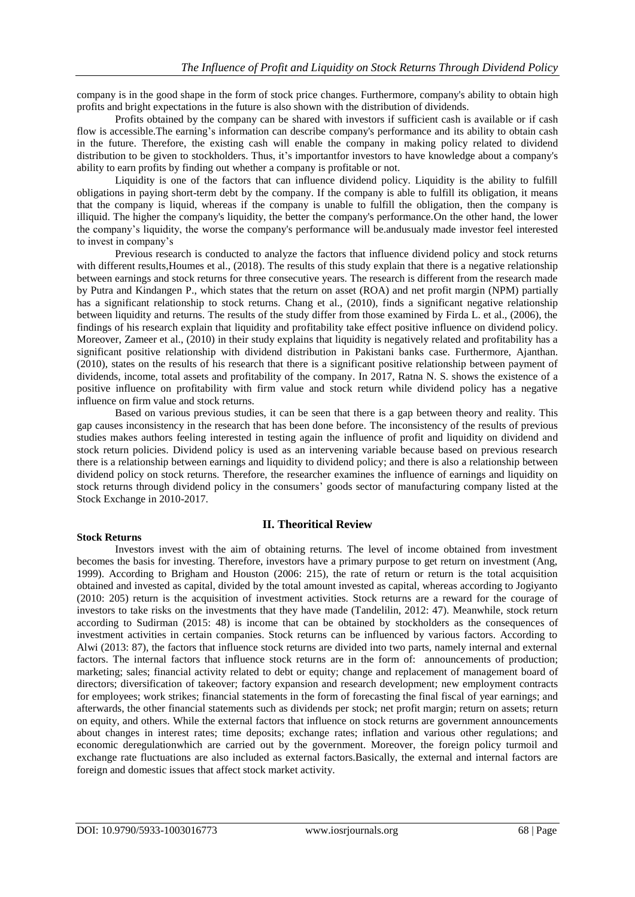company is in the good shape in the form of stock price changes. Furthermore, company's ability to obtain high profits and bright expectations in the future is also shown with the distribution of dividends.

Profits obtained by the company can be shared with investors if sufficient cash is available or if cash flow is accessible.The earning's information can describe company's performance and its ability to obtain cash in the future. Therefore, the existing cash will enable the company in making policy related to dividend distribution to be given to stockholders. Thus, it's importantfor investors to have knowledge about a company's ability to earn profits by finding out whether a company is profitable or not.

Liquidity is one of the factors that can influence dividend policy. Liquidity is the ability to fulfill obligations in paying short-term debt by the company. If the company is able to fulfill its obligation, it means that the company is liquid, whereas if the company is unable to fulfill the obligation, then the company is illiquid. The higher the company's liquidity, the better the company's performance.On the other hand, the lower the company's liquidity, the worse the company's performance will be.andusualy made investor feel interested to invest in company's

Previous research is conducted to analyze the factors that influence dividend policy and stock returns with different results, Houmes et al., (2018). The results of this study explain that there is a negative relationship between earnings and stock returns for three consecutive years. The research is different from the research made by Putra and Kindangen P., which states that the return on asset (ROA) and net profit margin (NPM) partially has a significant relationship to stock returns. Chang et al., (2010), finds a significant negative relationship between liquidity and returns. The results of the study differ from those examined by Firda L. et al., (2006), the findings of his research explain that liquidity and profitability take effect positive influence on dividend policy. Moreover, Zameer et al., (2010) in their study explains that liquidity is negatively related and profitability has a significant positive relationship with dividend distribution in Pakistani banks case. Furthermore, Ajanthan. (2010), states on the results of his research that there is a significant positive relationship between payment of dividends, income, total assets and profitability of the company. In 2017, Ratna N. S. shows the existence of a positive influence on profitability with firm value and stock return while dividend policy has a negative influence on firm value and stock returns.

Based on various previous studies, it can be seen that there is a gap between theory and reality. This gap causes inconsistency in the research that has been done before. The inconsistency of the results of previous studies makes authors feeling interested in testing again the influence of profit and liquidity on dividend and stock return policies. Dividend policy is used as an intervening variable because based on previous research there is a relationship between earnings and liquidity to dividend policy; and there is also a relationship between dividend policy on stock returns. Therefore, the researcher examines the influence of earnings and liquidity on stock returns through dividend policy in the consumers' goods sector of manufacturing company listed at the Stock Exchange in 2010-2017.

**II. Theoritical Review**

#### **Stock Returns**

## Investors invest with the aim of obtaining returns. The level of income obtained from investment becomes the basis for investing. Therefore, investors have a primary purpose to get return on investment (Ang, 1999). According to Brigham and Houston (2006: 215), the rate of return or return is the total acquisition obtained and invested as capital, divided by the total amount invested as capital, whereas according to Jogiyanto (2010: 205) return is the acquisition of investment activities. Stock returns are a reward for the courage of investors to take risks on the investments that they have made (Tandelilin, 2012: 47). Meanwhile, stock return according to Sudirman (2015: 48) is income that can be obtained by stockholders as the consequences of investment activities in certain companies. Stock returns can be influenced by various factors. According to Alwi (2013: 87), the factors that influence stock returns are divided into two parts, namely internal and external factors. The internal factors that influence stock returns are in the form of: announcements of production; marketing; sales; financial activity related to debt or equity; change and replacement of management board of directors; diversification of takeover; factory expansion and research development; new employment contracts for employees; work strikes; financial statements in the form of forecasting the final fiscal of year earnings; and afterwards, the other financial statements such as dividends per stock; net profit margin; return on assets; return on equity, and others. While the external factors that influence on stock returns are government announcements about changes in interest rates; time deposits; exchange rates; inflation and various other regulations; and economic deregulationwhich are carried out by the government. Moreover, the foreign policy turmoil and exchange rate fluctuations are also included as external factors.Basically, the external and internal factors are foreign and domestic issues that affect stock market activity.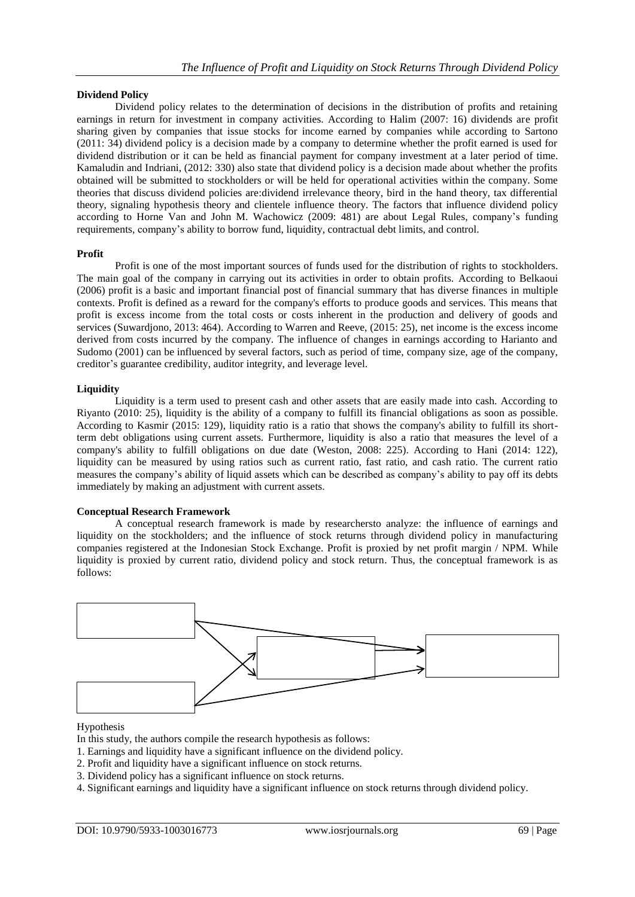# **Dividend Policy**

Dividend policy relates to the determination of decisions in the distribution of profits and retaining earnings in return for investment in company activities. According to Halim (2007: 16) dividends are profit sharing given by companies that issue stocks for income earned by companies while according to Sartono (2011: 34) dividend policy is a decision made by a company to determine whether the profit earned is used for dividend distribution or it can be held as financial payment for company investment at a later period of time. Kamaludin and Indriani, (2012: 330) also state that dividend policy is a decision made about whether the profits obtained will be submitted to stockholders or will be held for operational activities within the company. Some theories that discuss dividend policies are:dividend irrelevance theory, bird in the hand theory, tax differential theory, signaling hypothesis theory and clientele influence theory. The factors that influence dividend policy according to Horne Van and John M. Wachowicz (2009: 481) are about Legal Rules, company's funding requirements, company's ability to borrow fund, liquidity, contractual debt limits, and control.

# **Profit**

Profit is one of the most important sources of funds used for the distribution of rights to stockholders. The main goal of the company in carrying out its activities in order to obtain profits. According to Belkaoui (2006) profit is a basic and important financial post of financial summary that has diverse finances in multiple contexts. Profit is defined as a reward for the company's efforts to produce goods and services. This means that profit is excess income from the total costs or costs inherent in the production and delivery of goods and services (Suwardjono, 2013: 464). According to Warren and Reeve, (2015: 25), net income is the excess income derived from costs incurred by the company. The influence of changes in earnings according to Harianto and Sudomo (2001) can be influenced by several factors, such as period of time, company size, age of the company, creditor's guarantee credibility, auditor integrity, and leverage level.

# **Liquidity**

Liquidity is a term used to present cash and other assets that are easily made into cash. According to Riyanto (2010: 25), liquidity is the ability of a company to fulfill its financial obligations as soon as possible. According to Kasmir (2015: 129), liquidity ratio is a ratio that shows the company's ability to fulfill its shortterm debt obligations using current assets. Furthermore, liquidity is also a ratio that measures the level of a company's ability to fulfill obligations on due date (Weston, 2008: 225). According to Hani (2014: 122), liquidity can be measured by using ratios such as current ratio, fast ratio, and cash ratio. The current ratio measures the company's ability of liquid assets which can be described as company's ability to pay off its debts immediately by making an adjustment with current assets.

# **Conceptual Research Framework**

A conceptual research framework is made by researchersto analyze: the influence of earnings and liquidity on the stockholders; and the influence of stock returns through dividend policy in manufacturing companies registered at the Indonesian Stock Exchange. Profit is proxied by net profit margin / NPM. While liquidity is proxied by current ratio, dividend policy and stock return. Thus, the conceptual framework is as follows:



## Hypothesis

- In this study, the authors compile the research hypothesis as follows:
- 1. Earnings and liquidity have a significant influence on the dividend policy.
- 2. Profit and liquidity have a significant influence on stock returns.
- 3. Dividend policy has a significant influence on stock returns.
- 4. Significant earnings and liquidity have a significant influence on stock returns through dividend policy.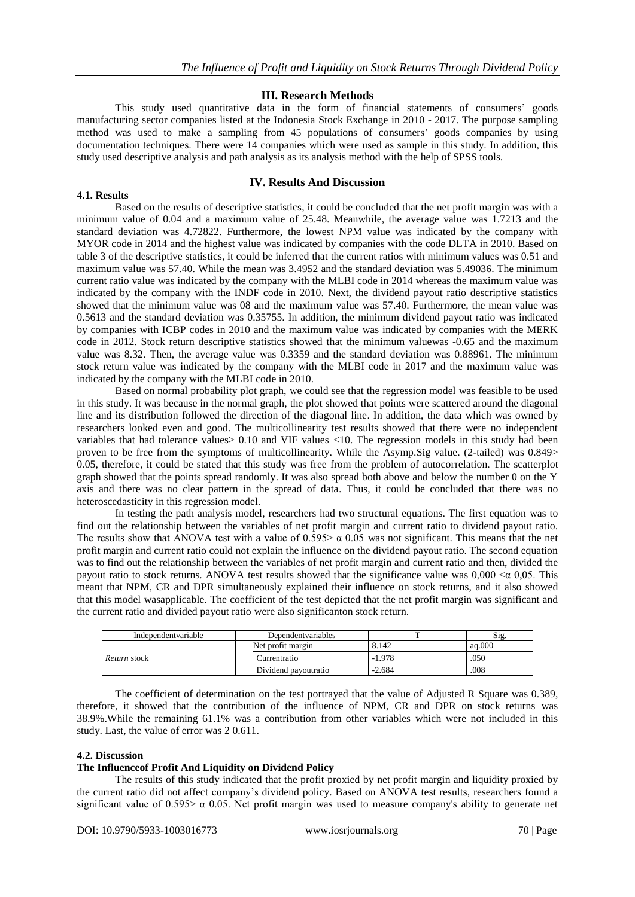# **III. Research Methods**

This study used quantitative data in the form of financial statements of consumers' goods manufacturing sector companies listed at the Indonesia Stock Exchange in 2010 - 2017. The purpose sampling method was used to make a sampling from 45 populations of consumers' goods companies by using documentation techniques. There were 14 companies which were used as sample in this study. In addition, this study used descriptive analysis and path analysis as its analysis method with the help of SPSS tools.

#### **IV. Results And Discussion**

Based on the results of descriptive statistics, it could be concluded that the net profit margin was with a minimum value of 0.04 and a maximum value of 25.48. Meanwhile, the average value was 1.7213 and the standard deviation was 4.72822. Furthermore, the lowest NPM value was indicated by the company with MYOR code in 2014 and the highest value was indicated by companies with the code DLTA in 2010. Based on table 3 of the descriptive statistics, it could be inferred that the current ratios with minimum values was 0.51 and maximum value was 57.40. While the mean was 3.4952 and the standard deviation was 5.49036. The minimum current ratio value was indicated by the company with the MLBI code in 2014 whereas the maximum value was indicated by the company with the INDF code in 2010. Next, the dividend payout ratio descriptive statistics showed that the minimum value was 08 and the maximum value was 57.40. Furthermore, the mean value was 0.5613 and the standard deviation was 0.35755. In addition, the minimum dividend payout ratio was indicated by companies with ICBP codes in 2010 and the maximum value was indicated by companies with the MERK code in 2012. Stock return descriptive statistics showed that the minimum valuewas -0.65 and the maximum value was 8.32. Then, the average value was 0.3359 and the standard deviation was 0.88961. The minimum stock return value was indicated by the company with the MLBI code in 2017 and the maximum value was indicated by the company with the MLBI code in 2010.

Based on normal probability plot graph, we could see that the regression model was feasible to be used in this study. It was because in the normal graph, the plot showed that points were scattered around the diagonal line and its distribution followed the direction of the diagonal line. In addition, the data which was owned by researchers looked even and good. The multicollinearity test results showed that there were no independent variables that had tolerance values> 0.10 and VIF values <10. The regression models in this study had been proven to be free from the symptoms of multicollinearity. While the Asymp.Sig value. (2-tailed) was 0.849> 0.05, therefore, it could be stated that this study was free from the problem of autocorrelation. The scatterplot graph showed that the points spread randomly. It was also spread both above and below the number 0 on the Y axis and there was no clear pattern in the spread of data. Thus, it could be concluded that there was no heteroscedasticity in this regression model.

In testing the path analysis model, researchers had two structural equations. The first equation was to find out the relationship between the variables of net profit margin and current ratio to dividend payout ratio. The results show that ANOVA test with a value of  $0.595 > \alpha$  0.05 was not significant. This means that the net profit margin and current ratio could not explain the influence on the dividend payout ratio. The second equation was to find out the relationship between the variables of net profit margin and current ratio and then, divided the payout ratio to stock returns. ANOVA test results showed that the significance value was  $0,000 \le \alpha 0,05$ . This meant that NPM, CR and DPR simultaneously explained their influence on stock returns, and it also showed that this model wasapplicable. The coefficient of the test depicted that the net profit margin was significant and the current ratio and divided payout ratio were also significanton stock return.

| Independentyariable | Dependent variables  |          | Sig.   |
|---------------------|----------------------|----------|--------|
| Return stock        | Net profit margin    | 8.142    | aq.000 |
|                     | Currentratio         | $-1.978$ | .050   |
|                     | Dividend payoutratio | $-2.684$ | .008   |

The coefficient of determination on the test portrayed that the value of Adjusted R Square was 0.389, therefore, it showed that the contribution of the influence of NPM, CR and DPR on stock returns was 38.9%.While the remaining 61.1% was a contribution from other variables which were not included in this study. Last, the value of error was 2 0.611.

## **4.2. Discussion**

**4.1. Results**

#### **The Influenceof Profit And Liquidity on Dividend Policy**

The results of this study indicated that the profit proxied by net profit margin and liquidity proxied by the current ratio did not affect company's dividend policy. Based on ANOVA test results, researchers found a significant value of  $0.595 > \alpha$  0.05. Net profit margin was used to measure company's ability to generate net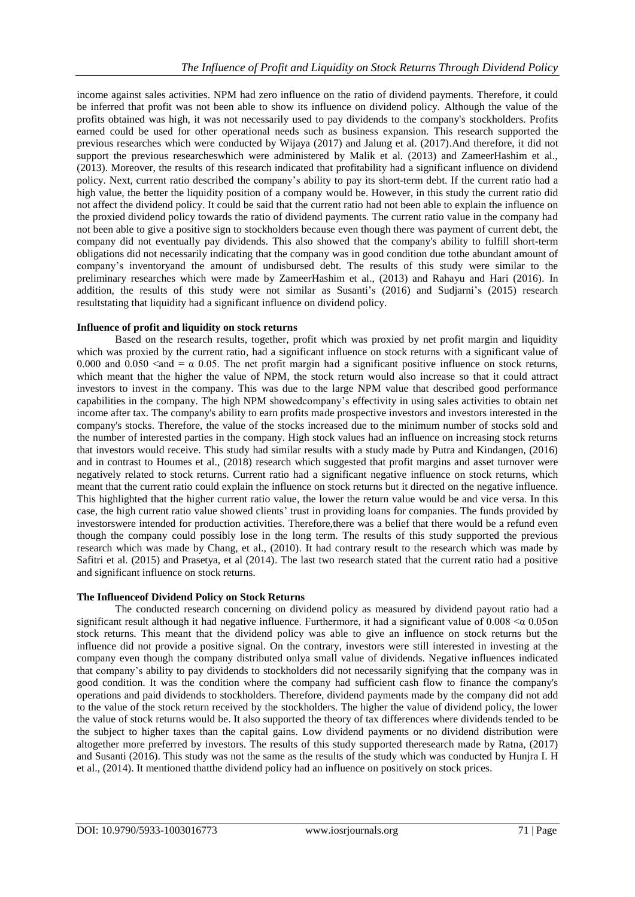income against sales activities. NPM had zero influence on the ratio of dividend payments. Therefore, it could be inferred that profit was not been able to show its influence on dividend policy. Although the value of the profits obtained was high, it was not necessarily used to pay dividends to the company's stockholders. Profits earned could be used for other operational needs such as business expansion. This research supported the previous researches which were conducted by Wijaya (2017) and Jalung et al. (2017).And therefore, it did not support the previous researcheswhich were administered by Malik et al. (2013) and ZameerHashim et al., (2013). Moreover, the results of this research indicated that profitability had a significant influence on dividend policy. Next, current ratio described the company's ability to pay its short-term debt. If the current ratio had a high value, the better the liquidity position of a company would be. However, in this study the current ratio did not affect the dividend policy. It could be said that the current ratio had not been able to explain the influence on the proxied dividend policy towards the ratio of dividend payments. The current ratio value in the company had not been able to give a positive sign to stockholders because even though there was payment of current debt, the company did not eventually pay dividends. This also showed that the company's ability to fulfill short-term obligations did not necessarily indicating that the company was in good condition due tothe abundant amount of company's inventoryand the amount of undisbursed debt. The results of this study were similar to the preliminary researches which were made by ZameerHashim et al., (2013) and Rahayu and Hari (2016). In addition, the results of this study were not similar as Susanti's (2016) and Sudjarni's (2015) research resultstating that liquidity had a significant influence on dividend policy.

# **Influence of profit and liquidity on stock returns**

Based on the research results, together, profit which was proxied by net profit margin and liquidity which was proxied by the current ratio, had a significant influence on stock returns with a significant value of 0.000 and 0.050  $\lt$  and  $= \alpha$  0.05. The net profit margin had a significant positive influence on stock returns, which meant that the higher the value of NPM, the stock return would also increase so that it could attract investors to invest in the company. This was due to the large NPM value that described good performance capabilities in the company. The high NPM showedcompany's effectivity in using sales activities to obtain net income after tax. The company's ability to earn profits made prospective investors and investors interested in the company's stocks. Therefore, the value of the stocks increased due to the minimum number of stocks sold and the number of interested parties in the company. High stock values had an influence on increasing stock returns that investors would receive. This study had similar results with a study made by Putra and Kindangen, (2016) and in contrast to Houmes et al., (2018) research which suggested that profit margins and asset turnover were negatively related to stock returns. Current ratio had a significant negative influence on stock returns, which meant that the current ratio could explain the influence on stock returns but it directed on the negative influence. This highlighted that the higher current ratio value, the lower the return value would be and vice versa. In this case, the high current ratio value showed clients' trust in providing loans for companies. The funds provided by investorswere intended for production activities. Therefore,there was a belief that there would be a refund even though the company could possibly lose in the long term. The results of this study supported the previous research which was made by Chang, et al., (2010). It had contrary result to the research which was made by Safitri et al. (2015) and Prasetya, et al (2014). The last two research stated that the current ratio had a positive and significant influence on stock returns.

## **The Influenceof Dividend Policy on Stock Returns**

The conducted research concerning on dividend policy as measured by dividend payout ratio had a significant result although it had negative influence. Furthermore, it had a significant value of  $0.008 < \alpha$  0.05on stock returns. This meant that the dividend policy was able to give an influence on stock returns but the influence did not provide a positive signal. On the contrary, investors were still interested in investing at the company even though the company distributed onlya small value of dividends. Negative influences indicated that company's ability to pay dividends to stockholders did not necessarily signifying that the company was in good condition. It was the condition where the company had sufficient cash flow to finance the company's operations and paid dividends to stockholders. Therefore, dividend payments made by the company did not add to the value of the stock return received by the stockholders. The higher the value of dividend policy, the lower the value of stock returns would be. It also supported the theory of tax differences where dividends tended to be the subject to higher taxes than the capital gains. Low dividend payments or no dividend distribution were altogether more preferred by investors. The results of this study supported theresearch made by Ratna, (2017) and Susanti (2016). This study was not the same as the results of the study which was conducted by Hunjra I. H et al., (2014). It mentioned thatthe dividend policy had an influence on positively on stock prices.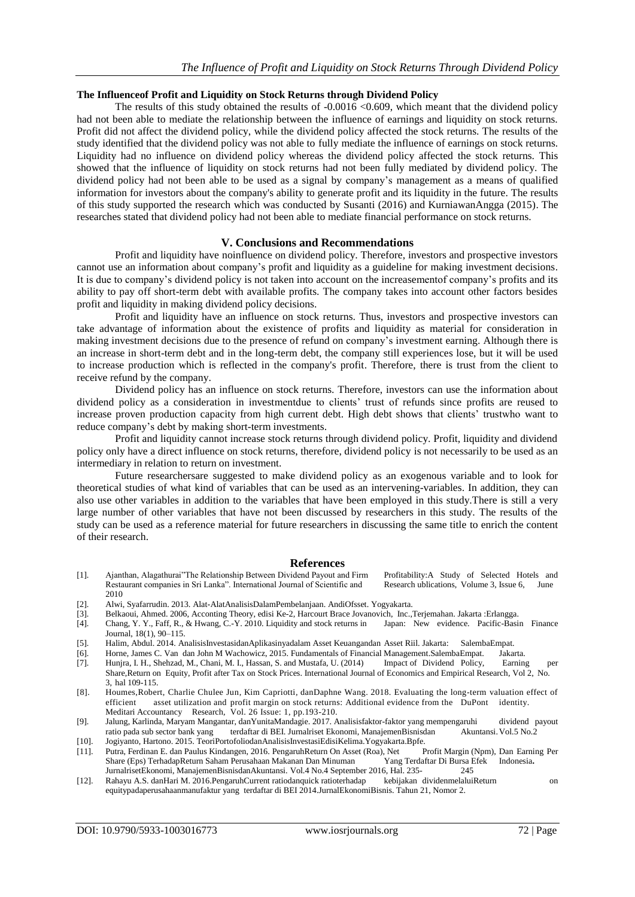#### **The Influenceof Profit and Liquidity on Stock Returns through Dividend Policy**

The results of this study obtained the results of -0.0016 <0.609, which meant that the dividend policy had not been able to mediate the relationship between the influence of earnings and liquidity on stock returns. Profit did not affect the dividend policy, while the dividend policy affected the stock returns. The results of the study identified that the dividend policy was not able to fully mediate the influence of earnings on stock returns. Liquidity had no influence on dividend policy whereas the dividend policy affected the stock returns. This showed that the influence of liquidity on stock returns had not been fully mediated by dividend policy. The dividend policy had not been able to be used as a signal by company's management as a means of qualified information for investors about the company's ability to generate profit and its liquidity in the future. The results of this study supported the research which was conducted by Susanti (2016) and KurniawanAngga (2015). The researches stated that dividend policy had not been able to mediate financial performance on stock returns.

#### **V. Conclusions and Recommendations**

Profit and liquidity have noinfluence on dividend policy. Therefore, investors and prospective investors cannot use an information about company's profit and liquidity as a guideline for making investment decisions. It is due to company's dividend policy is not taken into account on the increasementof company's profits and its ability to pay off short-term debt with available profits. The company takes into account other factors besides profit and liquidity in making dividend policy decisions.

Profit and liquidity have an influence on stock returns. Thus, investors and prospective investors can take advantage of information about the existence of profits and liquidity as material for consideration in making investment decisions due to the presence of refund on company's investment earning. Although there is an increase in short-term debt and in the long-term debt, the company still experiences lose, but it will be used to increase production which is reflected in the company's profit. Therefore, there is trust from the client to receive refund by the company.

Dividend policy has an influence on stock returns. Therefore, investors can use the information about dividend policy as a consideration in investmentdue to clients' trust of refunds since profits are reused to increase proven production capacity from high current debt. High debt shows that clients' trustwho want to reduce company's debt by making short-term investments.

Profit and liquidity cannot increase stock returns through dividend policy. Profit, liquidity and dividend policy only have a direct influence on stock returns, therefore, dividend policy is not necessarily to be used as an intermediary in relation to return on investment.

Future researchersare suggested to make dividend policy as an exogenous variable and to look for theoretical studies of what kind of variables that can be used as an intervening-variables. In addition, they can also use other variables in addition to the variables that have been employed in this study.There is still a very large number of other variables that have not been discussed by researchers in this study. The results of the study can be used as a reference material for future researchers in discussing the same title to enrich the content of their research.

#### **References**

- [1]. Ajanthan, Alagathurai"The Relationship Between Dividend Payout and Firm Profitability:A Study of Selected Hotels and Restaurant companies in Sri Lanka". International Journal of Scientific and Research ublications, Volume 3, Issue 6, June 2010
- [2]. Alwi, Syafarrudin. 2013. Alat-AlatAnalisisDalamPembelanjaan. AndiOfsset. Yogyakarta.
- [3]. Belkaoui, Ahmed. 2006, Acconting Theory, edisi Ke-2, Harcourt Brace Jovanovich, Inc.,Terjemahan. Jakarta :Erlangga.
- [4]. Chang, Y. Y., Faff, R., & Hwang, C.-Y. 2010. Liquidity and stock returns in Japan: New evidence. Pacific-Basin Finance Journal, 18(1), 90–115.
- [5]. Halim, Abdul. 2014. AnalisisInvestasidanAplikasinyadalam Asset Keuangandan Asset Riil. Jakarta: SalembaEmpat.
- [6]. Horne, James C. Van dan John M Wachowicz, 2015. Fundamentals of Financial Management.SalembaEmpat. Jakarta.
- [7]. Hunjra, I. H., Shehzad, M., Chani, M. I., Hassan, S. and Mustafa, U. (2014) Impact of Dividend Policy, Earning per Share,Return on Equity, Profit after Tax on Stock Prices. International Journal of Economics and Empirical Research, Vol 2, No. 3, hal 109-115.
- [8]. [Houmes,](https://www.emeraldinsight.com/author/Houmes%2C+Robert)Robert, [Charlie Chulee Jun,](https://www.emeraldinsight.com/author/Jun%2C+Charlie+Chulee) [Kim Capriotti,](https://www.emeraldinsight.com/author/Capriotti%2C+Kim) da[nDaphne Wang.](https://www.emeraldinsight.com/author/Wang%2C+Daphne) 2018. Evaluating the long-term valuation effect of efficient asset utilization and profit margin on stock returns: Additional evidence from the DuPont identity. Meditari Accountancy Research, Vol. 26 Issue: 1, pp.193-210.
- [9]. Jalung, Karlinda, Maryam Mangantar, danYunitaMandagie. 2017. Analisisfaktor-faktor yang mempengaruhi dividend payout ratio pada sub sector bank yang terdaftar di BEI. Jurnalriset Ekonomi, ManajemenBisnisdan Akuntansi.Vol.5 No.2
- [10]. Jogiyanto, Hartono. 2015. TeoriPortofoliodanAnalisisInvestasiEdisiKelima.Yogyakarta.Bpfe.
- [11]. Putra, Ferdinan E. dan Paulus Kindangen, 2016. PengaruhReturn On Asset (Roa), Net Profit Margin (Npm), Dan Earning Per Share (Eps) TerhadapReturn Saham Perusahaan Makanan Dan Minuman Yang Terdaftar Di Bursa Efek Indonesia**.**  JurnalrisetEkonomi, ManajemenBisnisdanAkuntansi. Vol.4 No.4 September 2016, Hal. 235- 245
- [12]. Rahayu A.S. danHari M. 2016.PengaruhCurrent ratiodanquick ratioterhadap kebijakan dividenmelaluiReturn on equitypadaperusahaanmanufaktur yang terdaftar di BEI 2014.JurnalEkonomiBisnis. Tahun 21, Nomor 2.